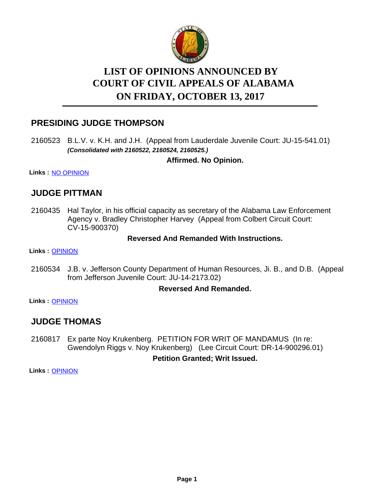

# **LIST OF OPINIONS ANNOUNCED BY ON FRIDAY, OCTOBER 13, 2017 COURT OF CIVIL APPEALS OF ALABAMA**

# **PRESIDING JUDGE THOMPSON**

2160523 B.L.V. v. K.H. and J.H. (Appeal from Lauderdale Juvenile Court: JU-15-541.01) *(Consolidated with 2160522, 2160524, 2160525.)*

### **Affirmed. No Opinion.**

**Links :** [NO OPINION](https://acis.alabama.gov/displaydocs.cfm?no=832013&event=5190KNSY4)

### **JUDGE PITTMAN**

2160435 Hal Taylor, in his official capacity as secretary of the Alabama Law Enforcement Agency v. Bradley Christopher Harvey (Appeal from Colbert Circuit Court: CV-15-900370)

#### **Reversed And Remanded With Instructions.**

**Links :** [OPINION](https://acis.alabama.gov/displaydocs.cfm?no=832008&event=5190KNSE6)

2160534 J.B. v. Jefferson County Department of Human Resources, Ji. B., and D.B. (Appeal from Jefferson Juvenile Court: JU-14-2173.02)

#### **Reversed And Remanded.**

**Links :** [OPINION](https://acis.alabama.gov/displaydocs.cfm?no=832009&event=5190KNSI3)

# **JUDGE THOMAS**

Ex parte Noy Krukenberg. PETITION FOR WRIT OF MANDAMUS (In re: Gwendolyn Riggs v. Noy Krukenberg) (Lee Circuit Court: DR-14-900296.01) 2160817

#### **Petition Granted; Writ Issued.**

**Links :** [OPINION](https://acis.alabama.gov/displaydocs.cfm?no=832010&event=5190KNSME)